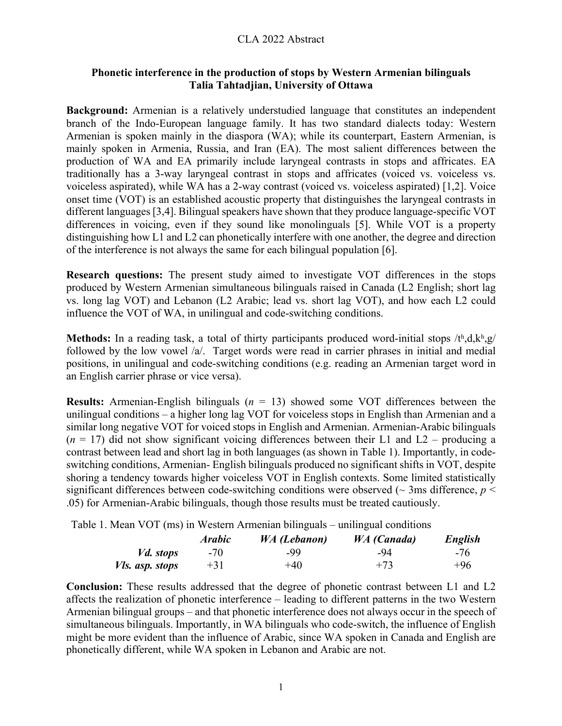## CLA 2022 Abstract

## **Phonetic interference in the production of stops by Western Armenian bilinguals Talia Tahtadjian, University of Ottawa**

**Background:** Armenian is a relatively understudied language that constitutes an independent branch of the Indo-European language family. It has two standard dialects today: Western Armenian is spoken mainly in the diaspora (WA); while its counterpart, Eastern Armenian, is mainly spoken in Armenia, Russia, and Iran (EA). The most salient differences between the production of WA and EA primarily include laryngeal contrasts in stops and affricates. EA traditionally has a 3-way laryngeal contrast in stops and affricates (voiced vs. voiceless vs. voiceless aspirated), while WA has a 2-way contrast (voiced vs. voiceless aspirated) [1,2]. Voice onset time (VOT) is an established acoustic property that distinguishes the laryngeal contrasts in different languages [3,4]. Bilingual speakers have shown that they produce language-specific VOT differences in voicing, even if they sound like monolinguals [5]. While VOT is a property distinguishing how L1 and L2 can phonetically interfere with one another, the degree and direction of the interference is not always the same for each bilingual population [6].

**Research questions:** The present study aimed to investigate VOT differences in the stops produced by Western Armenian simultaneous bilinguals raised in Canada (L2 English; short lag vs. long lag VOT) and Lebanon (L2 Arabic; lead vs. short lag VOT), and how each L2 could influence the VOT of WA, in unilingual and code-switching conditions.

**Methods:** In a reading task, a total of thirty participants produced word-initial stops /t<sup>h</sup>,d,k<sup>h</sup>,g/ followed by the low vowel /a/. Target words were read in carrier phrases in initial and medial positions, in unilingual and code-switching conditions (e.g. reading an Armenian target word in an English carrier phrase or vice versa).

**Results:** Armenian-English bilinguals (*n* = 13) showed some VOT differences between the unilingual conditions – a higher long lag VOT for voiceless stops in English than Armenian and a similar long negative VOT for voiced stops in English and Armenian. Armenian-Arabic bilinguals  $(n = 17)$  did not show significant voicing differences between their L1 and L2 – producing a contrast between lead and short lag in both languages (as shown in Table 1). Importantly, in codeswitching conditions, Armenian- English bilinguals produced no significant shifts in VOT, despite shoring a tendency towards higher voiceless VOT in English contexts. Some limited statistically significant differences between code-switching conditions were observed ( $\sim$  3ms difference,  $p$   $\leq$ .05) for Armenian-Arabic bilinguals, though those results must be treated cautiously.

Table 1. Mean VOT (ms) in Western Armenian bilinguals – unilingual conditions

|                        | <i><b>Arabic</b></i> | WA (Lebanon) | WA (Canada) | English |
|------------------------|----------------------|--------------|-------------|---------|
| <i>Vd.</i> stops       | $-70$                | -99          | -94         | $-76$   |
| <i>Vls. asp. stops</i> | $+31$                | $+40$        | $+73$       | $+96$   |

**Conclusion:** These results addressed that the degree of phonetic contrast between L1 and L2 affects the realization of phonetic interference – leading to different patterns in the two Western Armenian bilingual groups – and that phonetic interference does not always occur in the speech of simultaneous bilinguals. Importantly, in WA bilinguals who code-switch, the influence of English might be more evident than the influence of Arabic, since WA spoken in Canada and English are phonetically different, while WA spoken in Lebanon and Arabic are not.